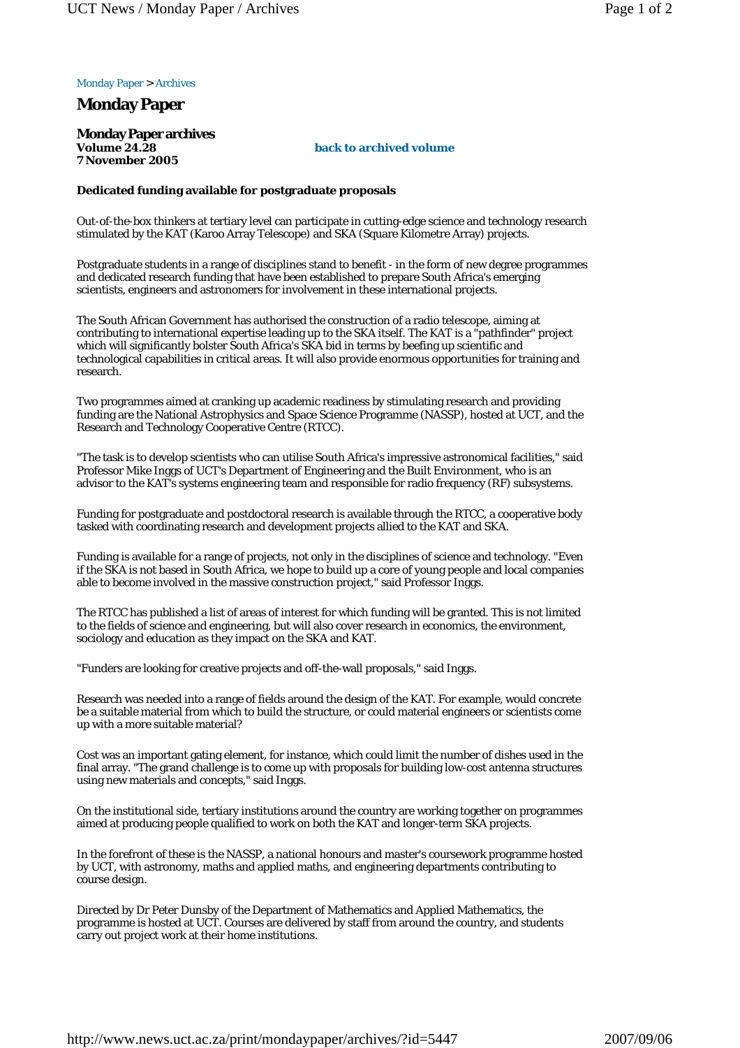## Monday Paper > Archives

## **Monday Paper**

**Monday Paper archives Volume 24.28 7 November 2005**

## **back to archived volume**

## **Dedicated funding available for postgraduate proposals**

Out-of-the-box thinkers at tertiary level can participate in cutting-edge science and technology research stimulated by the KAT (Karoo Array Telescope) and SKA (Square Kilometre Array) projects.

Postgraduate students in a range of disciplines stand to benefit - in the form of new degree programmes and dedicated research funding that have been established to prepare South Africa's emerging scientists, engineers and astronomers for involvement in these international projects.

The South African Government has authorised the construction of a radio telescope, aiming at contributing to international expertise leading up to the SKA itself. The KAT is a "pathfinder" project which will significantly bolster South Africa's SKA bid in terms by beefing up scientific and technological capabilities in critical areas. It will also provide enormous opportunities for training and research.

Two programmes aimed at cranking up academic readiness by stimulating research and providing funding are the National Astrophysics and Space Science Programme (NASSP), hosted at UCT, and the Research and Technology Cooperative Centre (RTCC).

"The task is to develop scientists who can utilise South Africa's impressive astronomical facilities," said Professor Mike Inggs of UCT's Department of Engineering and the Built Environment, who is an advisor to the KAT's systems engineering team and responsible for radio frequency (RF) subsystems.

Funding for postgraduate and postdoctoral research is available through the RTCC, a cooperative body tasked with coordinating research and development projects allied to the KAT and SKA.

Funding is available for a range of projects, not only in the disciplines of science and technology. "Even if the SKA is not based in South Africa, we hope to build up a core of young people and local companies able to become involved in the massive construction project," said Professor Inggs.

The RTCC has published a list of areas of interest for which funding will be granted. This is not limited to the fields of science and engineering, but will also cover research in economics, the environment, sociology and education as they impact on the SKA and KAT.

"Funders are looking for creative projects and off-the-wall proposals," said Inggs.

Research was needed into a range of fields around the design of the KAT. For example, would concrete be a suitable material from which to build the structure, or could material engineers or scientists come up with a more suitable material?

Cost was an important gating element, for instance, which could limit the number of dishes used in the final array. "The grand challenge is to come up with proposals for building low-cost antenna structures using new materials and concepts," said Inggs.

On the institutional side, tertiary institutions around the country are working together on programmes aimed at producing people qualified to work on both the KAT and longer-term SKA projects.

In the forefront of these is the NASSP, a national honours and master's coursework programme hosted by UCT, with astronomy, maths and applied maths, and engineering departments contributing to course design.

Directed by Dr Peter Dunsby of the Department of Mathematics and Applied Mathematics, the programme is hosted at UCT. Courses are delivered by staff from around the country, and students carry out project work at their home institutions.